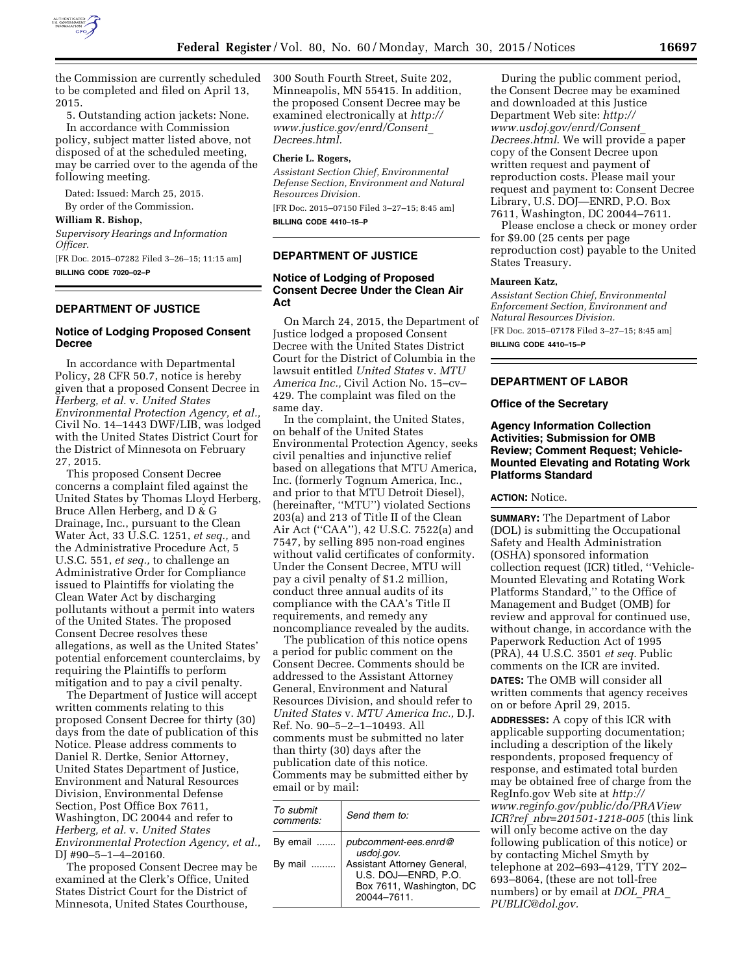

the Commission are currently scheduled to be completed and filed on April 13, 2015.

5. Outstanding action jackets: None. In accordance with Commission policy, subject matter listed above, not

disposed of at the scheduled meeting, may be carried over to the agenda of the following meeting.

Dated: Issued: March 25, 2015.

By order of the Commission.

**William R. Bishop,** 

*Supervisory Hearings and Information Officer.* 

[FR Doc. 2015–07282 Filed 3–26–15; 11:15 am] **BILLING CODE 7020–02–P** 

## **DEPARTMENT OF JUSTICE**

## **Notice of Lodging Proposed Consent Decree**

In accordance with Departmental Policy, 28 CFR 50.7, notice is hereby given that a proposed Consent Decree in *Herberg, et al.* v. *United States Environmental Protection Agency, et al.,*  Civil No. 14–1443 DWF/LIB, was lodged with the United States District Court for the District of Minnesota on February 27, 2015.

This proposed Consent Decree concerns a complaint filed against the United States by Thomas Lloyd Herberg, Bruce Allen Herberg, and D & G Drainage, Inc., pursuant to the Clean Water Act, 33 U.S.C. 1251, *et seq.,* and the Administrative Procedure Act, 5 U.S.C. 551, *et seq.,* to challenge an Administrative Order for Compliance issued to Plaintiffs for violating the Clean Water Act by discharging pollutants without a permit into waters of the United States. The proposed Consent Decree resolves these allegations, as well as the United States' potential enforcement counterclaims, by requiring the Plaintiffs to perform mitigation and to pay a civil penalty.

The Department of Justice will accept written comments relating to this proposed Consent Decree for thirty (30) days from the date of publication of this Notice. Please address comments to Daniel R. Dertke, Senior Attorney, United States Department of Justice, Environment and Natural Resources Division, Environmental Defense Section, Post Office Box 7611, Washington, DC 20044 and refer to *Herberg, et al.* v. *United States Environmental Protection Agency, et al.,*  DJ #90–5–1–4–20160.

The proposed Consent Decree may be examined at the Clerk's Office, United States District Court for the District of Minnesota, United States Courthouse,

300 South Fourth Street, Suite 202, Minneapolis, MN 55415. In addition, the proposed Consent Decree may be examined electronically at *[http://](http://www.justice.gov/enrd/Consent_Decrees.html) [www.justice.gov/enrd/Consent](http://www.justice.gov/enrd/Consent_Decrees.html)*\_ *[Decrees.html.](http://www.justice.gov/enrd/Consent_Decrees.html)* 

## **Cherie L. Rogers,**

*Assistant Section Chief, Environmental Defense Section, Environment and Natural Resources Division.*  [FR Doc. 2015–07150 Filed 3–27–15; 8:45 am]

**BILLING CODE 4410–15–P** 

## **DEPARTMENT OF JUSTICE**

## **Notice of Lodging of Proposed Consent Decree Under the Clean Air Act**

On March 24, 2015, the Department of Justice lodged a proposed Consent Decree with the United States District Court for the District of Columbia in the lawsuit entitled *United States* v. *MTU America Inc.,* Civil Action No. 15–cv– 429. The complaint was filed on the same day.

In the complaint, the United States, on behalf of the United States Environmental Protection Agency, seeks civil penalties and injunctive relief based on allegations that MTU America, Inc. (formerly Tognum America, Inc., and prior to that MTU Detroit Diesel), (hereinafter, ''MTU'') violated Sections 203(a) and 213 of Title II of the Clean Air Act (''CAA''), 42 U.S.C. 7522(a) and 7547, by selling 895 non-road engines without valid certificates of conformity. Under the Consent Decree, MTU will pay a civil penalty of \$1.2 million, conduct three annual audits of its compliance with the CAA's Title II requirements, and remedy any noncompliance revealed by the audits.

The publication of this notice opens a period for public comment on the Consent Decree. Comments should be addressed to the Assistant Attorney General, Environment and Natural Resources Division, and should refer to *United States* v. *MTU America Inc.,* D.J. Ref. No. 90–5–2–1–10493. All comments must be submitted no later than thirty (30) days after the publication date of this notice. Comments may be submitted either by email or by mail:

| To submit<br>comments: | Send them to:                                                                                |
|------------------------|----------------------------------------------------------------------------------------------|
| By email               | pubcomment-ees.enrd@<br>usdoj.gov.                                                           |
| By mail                | Assistant Attorney General,<br>U.S. DOJ-ENRD, P.O.<br>Box 7611, Washington, DC<br>20044-7611 |

During the public comment period, the Consent Decree may be examined and downloaded at this Justice Department Web site: *[http://](http://www.usdoj.gov/enrd/Consent_Decrees.html) [www.usdoj.gov/enrd/Consent](http://www.usdoj.gov/enrd/Consent_Decrees.html)*\_ *[Decrees.html](http://www.usdoj.gov/enrd/Consent_Decrees.html)*. We will provide a paper copy of the Consent Decree upon written request and payment of reproduction costs. Please mail your request and payment to: Consent Decree Library, U.S. DOJ—ENRD, P.O. Box 7611, Washington, DC 20044–7611.

Please enclose a check or money order for \$9.00 (25 cents per page reproduction cost) payable to the United States Treasury.

# **Maureen Katz,**

*Assistant Section Chief, Environmental Enforcement Section, Environment and Natural Resources Division.* 

[FR Doc. 2015–07178 Filed 3–27–15; 8:45 am] **BILLING CODE 4410–15–P** 

## **DEPARTMENT OF LABOR**

### **Office of the Secretary**

## **Agency Information Collection Activities; Submission for OMB Review; Comment Request; Vehicle-Mounted Elevating and Rotating Work Platforms Standard**

## **ACTION:** Notice.

**SUMMARY:** The Department of Labor (DOL) is submitting the Occupational Safety and Health Administration (OSHA) sponsored information collection request (ICR) titled, ''Vehicle-Mounted Elevating and Rotating Work Platforms Standard,'' to the Office of Management and Budget (OMB) for review and approval for continued use, without change, in accordance with the Paperwork Reduction Act of 1995 (PRA), 44 U.S.C. 3501 *et seq.* Public comments on the ICR are invited.

**DATES:** The OMB will consider all written comments that agency receives on or before April 29, 2015.

**ADDRESSES:** A copy of this ICR with applicable supporting documentation; including a description of the likely respondents, proposed frequency of response, and estimated total burden may be obtained free of charge from the RegInfo.gov Web site at *[http://](http://www.reginfo.gov/public/do/PRAViewICR?ref_nbr=201501-1218-005) [www.reginfo.gov/public/do/PRAView](http://www.reginfo.gov/public/do/PRAViewICR?ref_nbr=201501-1218-005) ICR?ref*\_*[nbr=201501-1218-005](http://www.reginfo.gov/public/do/PRAViewICR?ref_nbr=201501-1218-005)* (this link will only become active on the day following publication of this notice) or by contacting Michel Smyth by telephone at 202–693–4129, TTY 202– 693–8064, (these are not toll-free numbers) or by email at *[DOL](mailto:DOL_PRA_PUBLIC@dol.gov)*\_*PRA*\_ *[PUBLIC@dol.gov.](mailto:DOL_PRA_PUBLIC@dol.gov)*